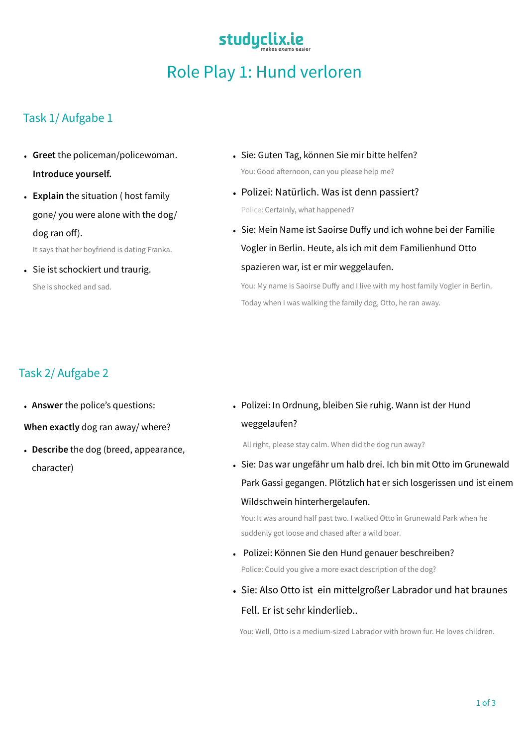# Role Play 1: Hund verloren

studyclix.ie

#### Task 1/ Aufgabe 1

- **Greet** the policeman/policewoman. **Introduce yourself.**
- **Explain** the situation ( host family gone/ you were alone with the dog/ dog ran off). It says that her boyfriend is dating Franka.
- Sie ist schockiert und traurig. She is shocked and sad.
- Sie: Guten Tag, können Sie mir bitte helfen? You: Good afternoon, can you please help me?
- Polizei: Natürlich. Was ist denn passiert? Police: Certainly, what happened?
- Sie: Mein Name ist Saoirse Duffy und ich wohne bei der Familie Vogler in Berlin. Heute, als ich mit dem Familienhund Otto spazieren war, ist er mir weggelaufen.

You: My name is Saoirse Duffy and I live with my host family Vogler in Berlin. Today when I was walking the family dog, Otto, he ran away.

#### Task 2/ Aufgabe 2

• **Answer** the police's questions:

**When exactly** dog ran away/ where?

- **Describe** the dog (breed, appearance, character)
- Polizei: In Ordnung, bleiben Sie ruhig. Wann ist der Hund weggelaufen?

All right, please stay calm. When did the dog run away?

• Sie: Das war ungefähr um halb drei. Ich bin mit Otto im Grunewald Park Gassi gegangen. Plötzlich hat er sich losgerissen und ist einem Wildschwein hinterhergelaufen.

You: It was around half past two. I walked Otto in Grunewald Park when he suddenly got loose and chased after a wild boar.

- Polizei: Können Sie den Hund genauer beschreiben? Police: Could you give a more exact description of the dog?
- Sie: Also Otto ist ein mittelgroßer Labrador und hat braunes Fell. Er ist sehr kinderlieb..

You: Well, Otto is a medium-sized Labrador with brown fur. He loves children.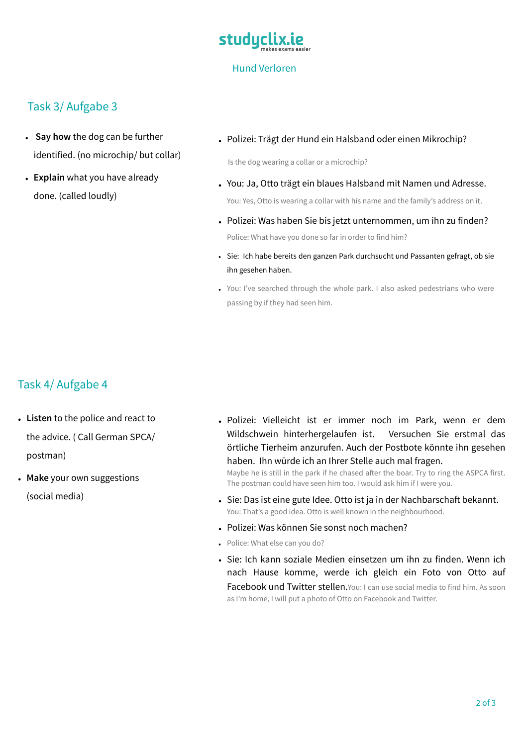

#### Task 3/ Aufgabe 3

- **Say how** the dog can be further identified. (no microchip/ but collar)
- **Explain** what you have already done. (called loudly)
- Polizei: Trägt der Hund ein Halsband oder einen Mikrochip?

Is the dog wearing a collar or a microchip?

- You: Ja, Otto trägt ein blaues Halsband mit Namen und Adresse. You: Yes, Otto is wearing a collar with his name and the family's address on it.
- Polizei: Was haben Sie bis jetzt unternommen, um ihn zu finden? Police: What have you done so far in order to find him?
- Sie: Ich habe bereits den ganzen Park durchsucht und Passanten gefragt, ob sie ihn gesehen haben.
- You: I've searched through the whole park. I also asked pedestrians who were passing by if they had seen him.

### Task 4/ Aufgabe 4

- **Listen** to the police and react to the advice. ( Call German SPCA/ postman)
- **Make** your own suggestions (social media)

• Polizei: Vielleicht ist er immer noch im Park, wenn er dem Wildschwein hinterhergelaufen ist. Versuchen Sie erstmal das örtliche Tierheim anzurufen. Auch der Postbote könnte ihn gesehen haben. Ihn würde ich an Ihrer Stelle auch mal fragen.

Maybe he is still in the park if he chased after the boar. Try to ring the ASPCA first. The postman could have seen him too. I would ask him if I were you.

- Sie: Das ist eine gute Idee. Otto ist ja in der Nachbarschaft bekannt. You: That's a good idea. Otto is well known in the neighbourhood.
- Polizei: Was können Sie sonst noch machen?
- Police: What else can you do?
- Sie: Ich kann soziale Medien einsetzen um ihn zu finden. Wenn ich nach Hause komme, werde ich gleich ein Foto von Otto auf Facebook und Twitter stellen. You: I can use social media to find him. As soon as I'm home, I will put a photo of Otto on Facebook and Twitter.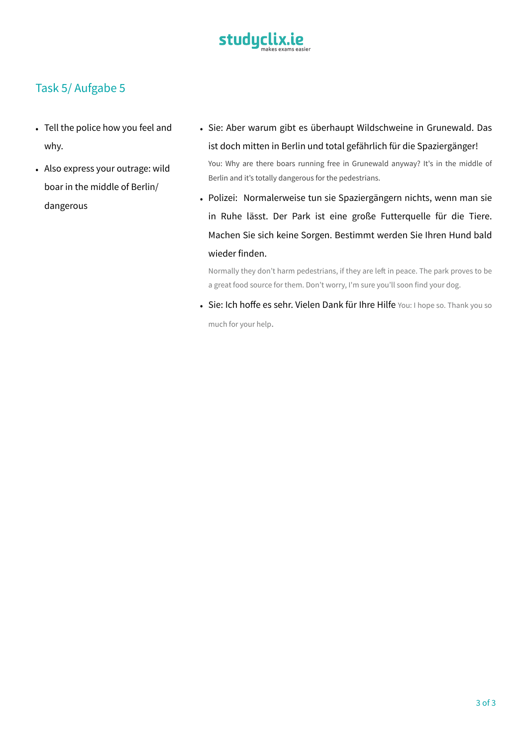

#### Task 5/ Aufgabe 5

- Tell the police how you feel and why.
- Also express your outrage: wild boar in the middle of Berlin/ dangerous
- Sie: Aber warum gibt es überhaupt Wildschweine in Grunewald. Das ist doch mitten in Berlin und total gefährlich für die Spaziergänger! You: Why are there boars running free in Grunewald anyway? It's in the middle of Berlin and it's totally dangerous for the pedestrians.
- Polizei: Normalerweise tun sie Spaziergängern nichts, wenn man sie in Ruhe lässt. Der Park ist eine große Futterquelle für die Tiere. Machen Sie sich keine Sorgen. Bestimmt werden Sie Ihren Hund bald wieder finden.

Normally they don't harm pedestrians, if they are left in peace. The park proves to be a great food source for them. Don't worry, I'm sure you'll soon find your dog.

• Sie: Ich hoffe es sehr. Vielen Dank für Ihre Hilfe You: I hope so. Thank you so much for your help.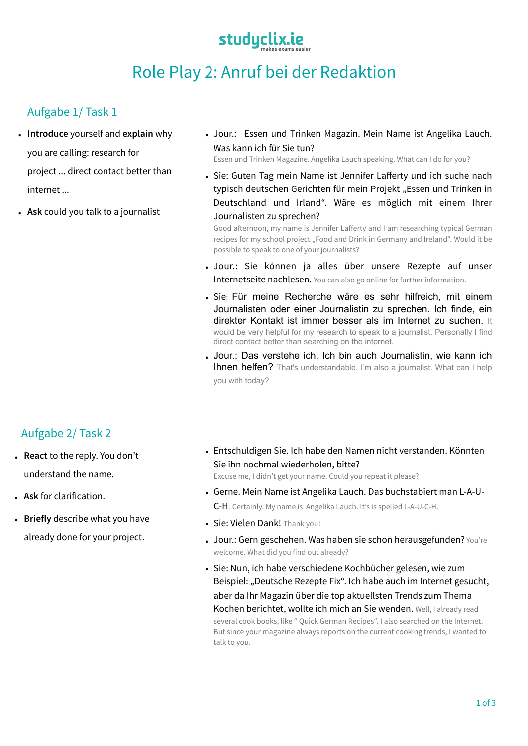## studyclix.ie

## Role Play 2: Anruf bei der Redaktion

### Aufgabe 1/ Task 1

- **Introduce** yourself and **explain** why you are calling: research for project ... direct contact better than internet ...
- **Ask** could you talk to a journalist
- Jour.: Essen und Trinken Magazin. Mein Name ist Angelika Lauch. Was kann ich für Sie tun?

Essen und Trinken Magazine. Angelika Lauch speaking. What can I do for you?

• Sie: Guten Tag mein Name ist Jennifer Lafferty und ich suche nach typisch deutschen Gerichten für mein Projekt "Essen und Trinken in Deutschland und Irland". Wäre es möglich mit einem Ihrer Journalisten zu sprechen?

Good afternoon, my name is Jennifer Lafferty and I am researching typical German recipes for my school project "Food and Drink in Germany and Ireland". Would it be possible to speak to one of your journalists?

- Jour.: Sie können ja alles über unsere Rezepte auf unser Internetseite nachlesen. You can also go online for further information.
- Sie: Für meine Recherche wäre es sehr hilfreich, mit einem Journalisten oder einer Journalistin zu sprechen. Ich finde, ein direkter Kontakt ist immer besser als im Internet zu suchen. It would be very helpful for my research to speak to a journalist. Personally I find direct contact better than searching on the internet.
- Jour.: Das verstehe ich. Ich bin auch Journalistin, wie kann ich **Ihnen helfen?** That's understandable. I'm also a journalist. What can I help you with today?

#### Aufgabe 2/ Task 2

- **React** to the reply. You don't understand the name.
- **Ask** for clarification.
- **Briefly** describe what you have already done for your project.
- Entschuldigen Sie. Ich habe den Namen nicht verstanden. Könnten Sie ihn nochmal wiederholen, bitte? Excuse me, I didn't get your name. Could you repeat it please?
- Gerne. Mein Name ist Angelika Lauch. Das buchstabiert man L-A-U-C-H. Certainly. My name is Angelika Lauch. It's is spelled L-A-U-C-H.
- Sie: Vielen Dank! Thank you!
- Jour.: Gern geschehen. Was haben sie schon herausgefunden? You're welcome. What did you find out already?
- Sie: Nun, ich habe verschiedene Kochbücher gelesen, wie zum Beispiel: "Deutsche Rezepte Fix". Ich habe auch im Internet gesucht, aber da Ihr Magazin über die top aktuellsten Trends zum Thema Kochen berichtet, wollte ich mich an Sie wenden. Well, I already read several cook books, like " Quick German Recipes". I also searched on the Internet. But since your magazine always reports on the current cooking trends, I wanted to talk to you.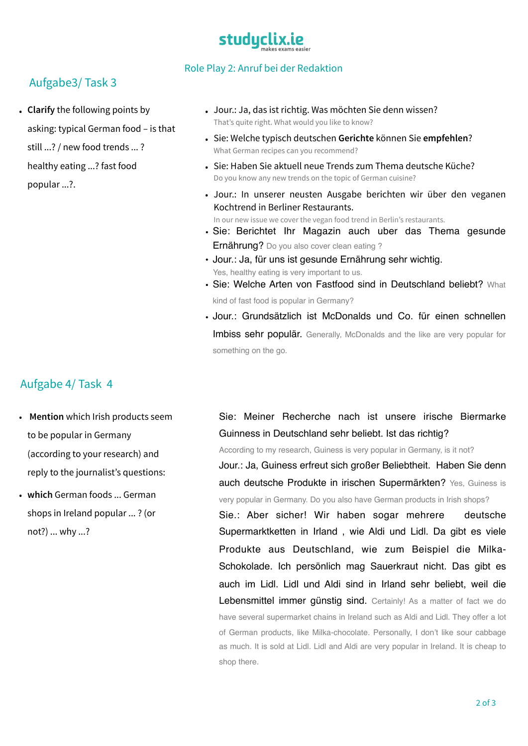# studuclix.ie

#### Aufgabe3/ Task 3

• **Clarify** the following points by asking: typical German food – is that still ...? / new food trends ... ? healthy eating ...? fast food popular ...?.

#### Role Play 2: Anruf bei der Redaktion

- Jour.: Ja, das ist richtig. Was möchten Sie denn wissen? That's quite right. What would you like to know?
- Sie: Welche typisch deutschen **Gerichte** können Sie **empfehlen**? What German recipes can you recommend?
- Sie: Haben Sie aktuell neue Trends zum Thema deutsche Küche? Do you know any new trends on the topic of German cuisine?
- Jour.: In unserer neusten Ausgabe berichten wir über den veganen Kochtrend in Berliner Restaurants. In our new issue we cover the vegan food trend in Berlin's restaurants.
- Sie: Berichtet Ihr Magazin auch uber das Thema gesunde Ernährung? Do you also cover clean eating?
- Jour.: Ja, für uns ist gesunde Ernährung sehr wichtig. Yes, healthy eating is very important to us.
- Sie: Welche Arten von Fastfood sind in Deutschland beliebt? What kind of fast food is popular in Germany?
- Jour.: Grundsätzlich ist McDonalds und Co. für einen schnellen Imbiss sehr populär. Generally, McDonalds and the like are very popular for something on the go.

#### Aufgabe 4/ Task 4

- **Mention** which Irish products seem to be popular in Germany (according to your research) and reply to the journalist's questions:
- **which** German foods ... German shops in Ireland popular ... ? (or not?) ... why ...?

Sie: Meiner Recherche nach ist unsere irische Biermarke Guinness in Deutschland sehr beliebt. Ist das richtig?

According to my research, Guiness is very popular in Germany, is it not?

Jour.: Ja, Guiness erfreut sich großer Beliebtheit. Haben Sie denn auch deutsche Produkte in irischen Supermärkten? Yes, Guiness is very popular in Germany. Do you also have German products in Irish shops?

Sie.: Aber sicher! Wir haben sogar mehrere deutsche Supermarktketten in Irland , wie Aldi und Lidl. Da gibt es viele Produkte aus Deutschland, wie zum Beispiel die Milka-Schokolade. Ich persönlich mag Sauerkraut nicht. Das gibt es auch im Lidl. Lidl und Aldi sind in Irland sehr beliebt, weil die Lebensmittel immer günstig sind. Certainly! As a matter of fact we do have several supermarket chains in Ireland such as Aldi and Lidl. They offer a lot of German products, like Milka-chocolate. Personally, I don't like sour cabbage as much. It is sold at Lidl. Lidl and Aldi are very popular in Ireland. It is cheap to shop there.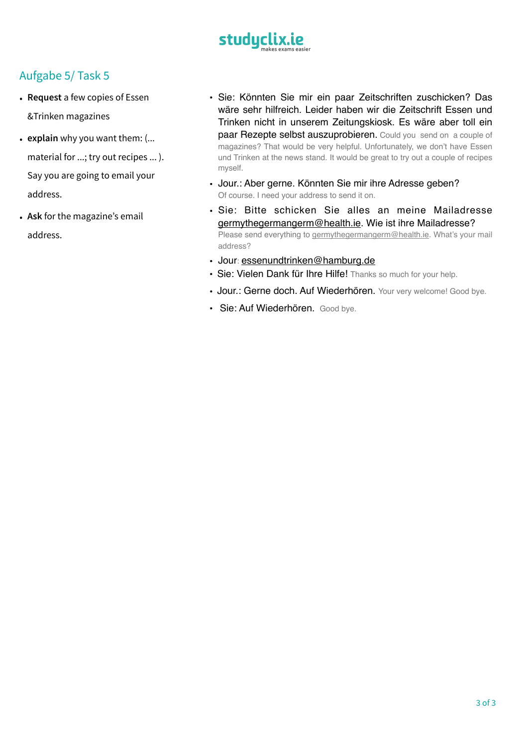

- **Request** a few copies of Essen &Trinken magazines
- **explain** why you want them: (... material for ...; try out recipes ... ). Say you are going to email your address.
- **Ask** for the magazine's email address.
- Sie: Könnten Sie mir ein paar Zeitschriften zuschicken? Das wäre sehr hilfreich. Leider haben wir die Zeitschrift Essen und Trinken nicht in unserem Zeitungskiosk. Es wäre aber toll ein paar Rezepte selbst auszuprobieren. Could you send on a couple of magazines? That would be very helpful. Unfortunately, we don't have Essen und Trinken at the news stand. It would be great to try out a couple of recipes myself.
- Jour.: Aber gerne. Könnten Sie mir ihre Adresse geben? Of course. I need your address to send it on.
- Sie: Bitte schicken Sie alles an meine Mailadresse [germythegermangerm@health.ie.](mailto:germythegermangerm@health.ie) Wie ist ihre Mailadresse? Please send everything to [germythegermangerm@health.ie.](mailto:germythegermangerm@health.ie) What's your mail address?
- Jour: [essenundtrinken@hamburg.de](mailto:essenundtrinken@hamburg.de)
- Sie: Vielen Dank für Ihre Hilfe! Thanks so much for your help.
- Jour.: Gerne doch. Auf Wiederhören. Your very welcome! Good bye.
- Sie: Auf Wiederhören. Good bye.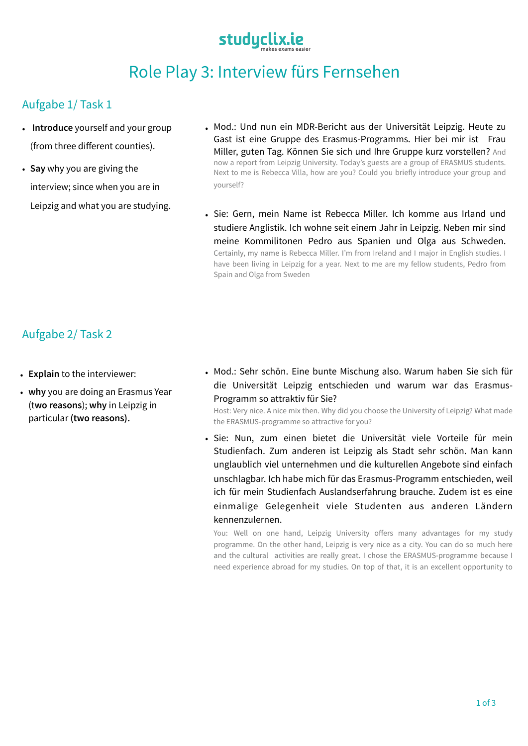## studyclix.ie

### Role Play 3: Interview fürs Fernsehen

### Aufgabe 1/ Task 1

- **Introduce** yourself and your group (from three different counties).
- **Say** why you are giving the interview; since when you are in Leipzig and what you are studying.
- Mod.: Und nun ein MDR-Bericht aus der Universität Leipzig. Heute zu Gast ist eine Gruppe des Erasmus-Programms. Hier bei mir ist Frau Miller, guten Tag. Können Sie sich und Ihre Gruppe kurz vorstellen? And now a report from Leipzig University. Today's guests are a group of ERASMUS students. Next to me is Rebecca Villa, how are you? Could you briefly introduce your group and yourself?
- Sie: Gern, mein Name ist Rebecca Miller. Ich komme aus Irland und studiere Anglistik. Ich wohne seit einem Jahr in Leipzig. Neben mir sind meine Kommilitonen Pedro aus Spanien und Olga aus Schweden. Certainly, my name is Rebecca Miller. I'm from Ireland and I major in English studies. I have been living in Leipzig for a year. Next to me are my fellow students, Pedro from Spain and Olga from Sweden

#### Aufgabe 2/ Task 2

- **Explain** to the interviewer:
- **why** you are doing an Erasmus Year (t**wo reasons**); **why** in Leipzig in particular **(two reasons).**
- Mod.: Sehr schön. Eine bunte Mischung also. Warum haben Sie sich für die Universität Leipzig entschieden und warum war das Erasmus-Programm so attraktiv für Sie?

Host: Very nice. A nice mix then. Why did you choose the University of Leipzig? What made the ERASMUS-programme so attractive for you?

• Sie: Nun, zum einen bietet die Universität viele Vorteile für mein Studienfach. Zum anderen ist Leipzig als Stadt sehr schön. Man kann unglaublich viel unternehmen und die kulturellen Angebote sind einfach unschlagbar. Ich habe mich für das Erasmus-Programm entschieden, weil ich für mein Studienfach Auslandserfahrung brauche. Zudem ist es eine einmalige Gelegenheit viele Studenten aus anderen Ländern kennenzulernen.

You: Well on one hand, Leipzig University offers many advantages for my study programme. On the other hand, Leipzig is very nice as a city. You can do so much here and the cultural activities are really great. I chose the ERASMUS-programme because I need experience abroad for my studies. On top of that, it is an excellent opportunity to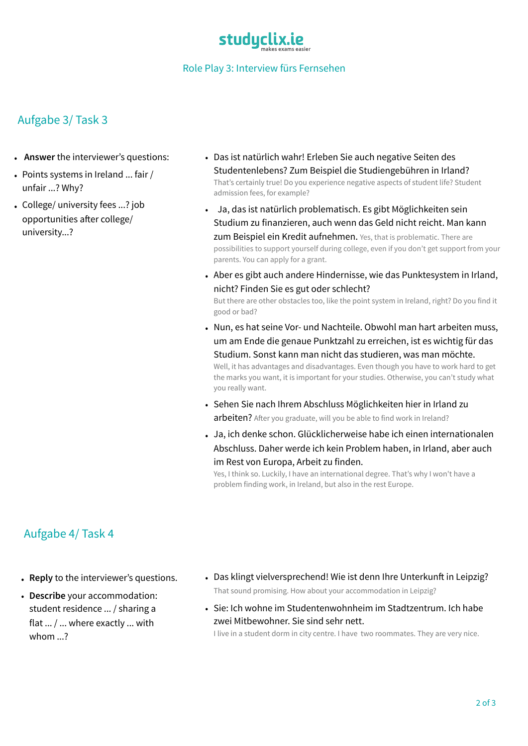

#### Role Play 3: Interview fürs Fernsehen

#### Aufgabe 3/ Task 3

- **Answer** the interviewer's questions:
- Points systems in Ireland ... fair / unfair ...? Why?
- College/ university fees ...? job opportunities after college/ university...?
- Das ist natürlich wahr! Erleben Sie auch negative Seiten des Studentenlebens? Zum Beispiel die Studiengebühren in Irland? That's certainly true! Do you experience negative aspects of student life? Student admission fees, for example?
- Ja, das ist natürlich problematisch. Es gibt Möglichkeiten sein Studium zu finanzieren, auch wenn das Geld nicht reicht. Man kann **zum Beispiel ein Kredit aufnehmen.** Yes, that is problematic. There are possibilities to support yourself during college, even if you don't get support from your parents. You can apply for a grant.
- Aber es gibt auch andere Hindernisse, wie das Punktesystem in Irland, nicht? Finden Sie es gut oder schlecht? But there are other obstacles too, like the point system in Ireland, right? Do you find it good or bad?
- Nun, es hat seine Vor- und Nachteile. Obwohl man hart arbeiten muss, um am Ende die genaue Punktzahl zu erreichen, ist es wichtig für das Studium. Sonst kann man nicht das studieren, was man möchte. Well, it has advantages and disadvantages. Even though you have to work hard to get the marks you want, it is important for your studies. Otherwise, you can't study what you really want.
- Sehen Sie nach Ihrem Abschluss Möglichkeiten hier in Irland zu arbeiten? After you graduate, will you be able to find work in Ireland?
- Ja, ich denke schon. Glücklicherweise habe ich einen internationalen Abschluss. Daher werde ich kein Problem haben, in Irland, aber auch im Rest von Europa, Arbeit zu finden.

Yes, I think so. Luckily, I have an international degree. That's why I won't have a problem finding work, in Ireland, but also in the rest Europe.

#### Aufgabe 4/ Task 4

- **Reply** to the interviewer's questions.
- **Describe** your accommodation: student residence ... / sharing a flat ... / ... where exactly ... with whom 2
- Das klingt vielversprechend! Wie ist denn Ihre Unterkunft in Leipzig? That sound promising. How about your accommodation in Leipzig?
- Sie: Ich wohne im Studentenwohnheim im Stadtzentrum. Ich habe zwei Mitbewohner. Sie sind sehr nett.

I live in a student dorm in city centre. I have two roommates. They are very nice.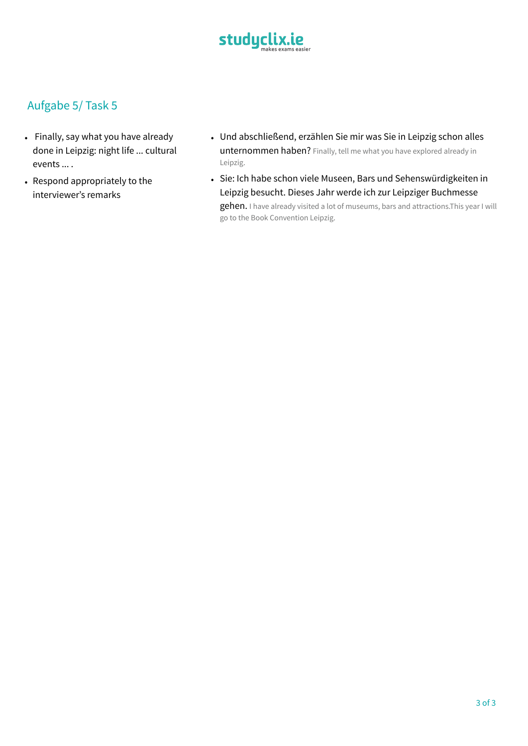

- Finally, say what you have already done in Leipzig: night life ... cultural events ... .
- Respond appropriately to the interviewer's remarks
- Und abschließend, erzählen Sie mir was Sie in Leipzig schon alles unternommen haben? Finally, tell me what you have explored already in Leipzig.
- Sie: Ich habe schon viele Museen, Bars und Sehenswürdigkeiten in Leipzig besucht. Dieses Jahr werde ich zur Leipziger Buchmesse gehen. I have already visited a lot of museums, bars and attractions. This year I will go to the Book Convention Leipzig.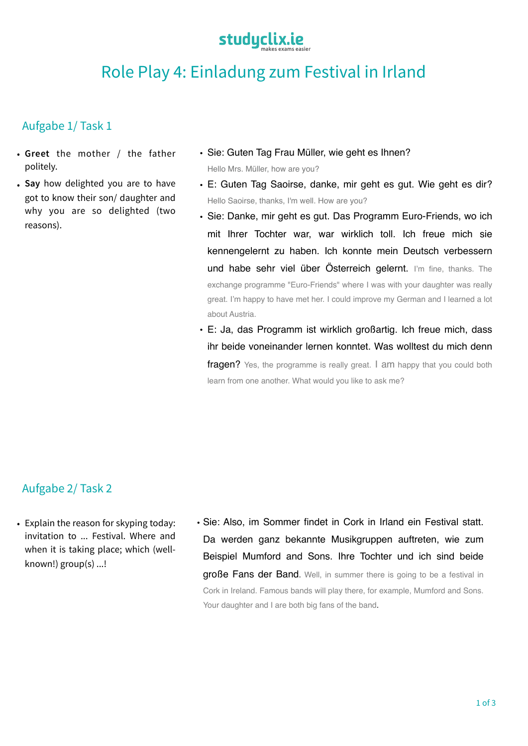

### Role Play 4: Einladung zum Festival in Irland

#### Aufgabe 1/ Task 1

- **Greet** the mother / the father politely.
- **Say** how delighted you are to have got to know their son/ daughter and why you are so delighted (two reasons).
- Sie: Guten Tag Frau Müller, wie geht es Ihnen? Hello Mrs. Müller, how are you?
- E: Guten Tag Saoirse, danke, mir geht es gut. Wie geht es dir? Hello Saoirse, thanks, I'm well. How are you?
- Sie: Danke, mir geht es gut. Das Programm Euro-Friends, wo ich mit Ihrer Tochter war, war wirklich toll. Ich freue mich sie kennengelernt zu haben. Ich konnte mein Deutsch verbessern und habe sehr viel über Österreich gelernt. I'm fine, thanks. The exchange programme "Euro-Friends" where I was with your daughter was really great. I'm happy to have met her. I could improve my German and I learned a lot about Austria.
- **•** E: Ja, das Programm ist wirklich großartig. Ich freue mich, dass ihr beide voneinander lernen konntet. Was wolltest du mich denn **fragen?** Yes, the programme is really great. I am happy that you could both learn from one another. What would you like to ask me?

#### Aufgabe 2/ Task 2

- Explain the reason for skyping today: invitation to ... Festival. Where and when it is taking place; which (wellknown!) group(s) ...!
- Sie: Also, im Sommer findet in Cork in Irland ein Festival statt. Da werden ganz bekannte Musikgruppen auftreten, wie zum Beispiel Mumford and Sons. Ihre Tochter und ich sind beide große Fans der Band. Well, in summer there is going to be a festival in Cork in Ireland. Famous bands will play there, for example, Mumford and Sons. Your daughter and I are both big fans of the band.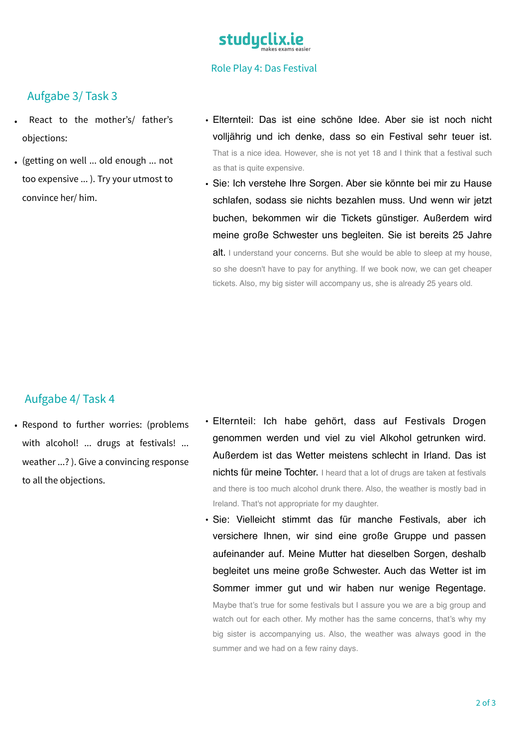

#### Role Play 4: Das Festival

#### Aufgabe 3/ Task 3

- React to the mother's/ father's objections:
- (getting on well ... old enough ... not too expensive ... ). Try your utmost to convince her/ him.
- Elternteil: Das ist eine schöne Idee. Aber sie ist noch nicht volljährig und ich denke, dass so ein Festival sehr teuer ist. That is a nice idea. However, she is not yet 18 and I think that a festival such as that is quite expensive.
- **•** Sie: Ich verstehe Ihre Sorgen. Aber sie könnte bei mir zu Hause schlafen, sodass sie nichts bezahlen muss. Und wenn wir jetzt buchen, bekommen wir die Tickets günstiger. Außerdem wird meine große Schwester uns begleiten. Sie ist bereits 25 Jahre alt. I understand your concerns. But she would be able to sleep at my house, so she doesn't have to pay for anything. If we book now, we can get cheaper tickets. Also, my big sister will accompany us, she is already 25 years old.

#### Aufgabe 4/ Task 4

- Respond to further worries: (problems with alcohol! ... drugs at festivals! ... weather ...? ). Give a convincing response to all the objections.
- Elternteil: Ich habe gehört, dass auf Festivals Drogen genommen werden und viel zu viel Alkohol getrunken wird. Außerdem ist das Wetter meistens schlecht in Irland. Das ist nichts für meine Tochter. I heard that a lot of drugs are taken at festivals and there is too much alcohol drunk there. Also, the weather is mostly bad in Ireland. That's not appropriate for my daughter.
- Sie: Vielleicht stimmt das für manche Festivals, aber ich versichere Ihnen, wir sind eine große Gruppe und passen aufeinander auf. Meine Mutter hat dieselben Sorgen, deshalb begleitet uns meine große Schwester. Auch das Wetter ist im Sommer immer gut und wir haben nur wenige Regentage. Maybe that's true for some festivals but I assure you we are a big group and watch out for each other. My mother has the same concerns, that's why my big sister is accompanying us. Also, the weather was always good in the summer and we had on a few rainy days.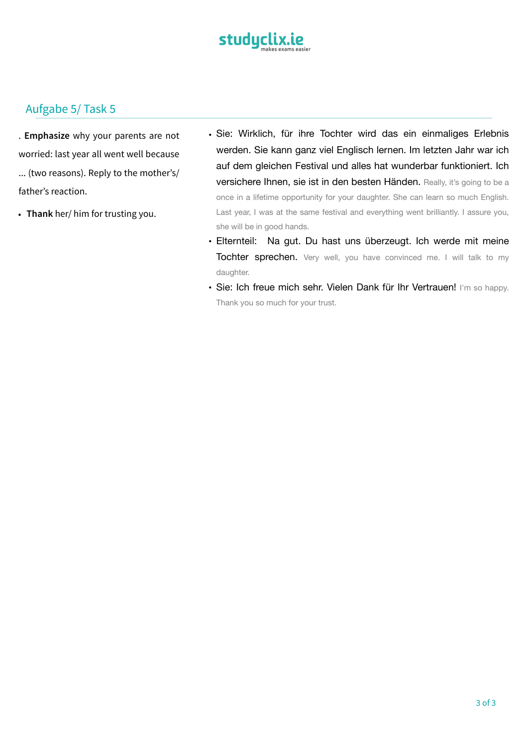

. **Emphasize** why your parents are not worried: last year all went well because ... (two reasons). Reply to the mother's/ father's reaction.

- **Thank** her/ him for trusting you.
- Sie: Wirklich, für ihre Tochter wird das ein einmaliges Erlebnis werden. Sie kann ganz viel Englisch lernen. Im letzten Jahr war ich auf dem gleichen Festival und alles hat wunderbar funktioniert. Ich versichere Ihnen, sie ist in den besten Händen. Really, it's going to be a once in a lifetime opportunity for your daughter. She can learn so much English. Last year, I was at the same festival and everything went brilliantly. I assure you, she will be in good hands.
- Elternteil: Na gut. Du hast uns überzeugt. Ich werde mit meine Tochter sprechen. Very well, you have convinced me. I will talk to my daughter.
- Sie: Ich freue mich sehr. Vielen Dank für Ihr Vertrauen! I'm so happy. Thank you so much for your trust.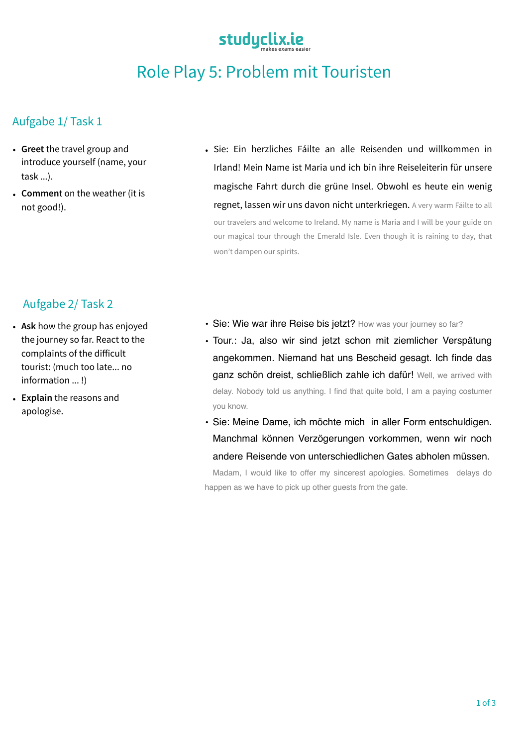## studyclix.ie

## Role Play 5: Problem mit Touristen

#### Aufgabe 1/ Task 1

- **Greet** the travel group and introduce yourself (name, your task ...).
- **Commen**t on the weather (it is not good!).
- Sie: Ein herzliches Fáilte an alle Reisenden und willkommen in Irland! Mein Name ist Maria und ich bin ihre Reiseleiterin für unsere magische Fahrt durch die grüne Insel. Obwohl es heute ein wenig regnet, lassen wir uns davon nicht unterkriegen. A very warm Fáilte to all our travelers and welcome to Ireland. My name is Maria and I will be your guide on our magical tour through the Emerald Isle. Even though it is raining to day, that won't dampen our spirits.

#### Aufgabe 2/ Task 2

- **Ask** how the group has enjoyed the journey so far. React to the complaints of the difficult tourist: (much too late... no information ... !)
- **Explain** the reasons and apologise.
- Sie: Wie war ihre Reise bis jetzt? How was your journey so far?
- Tour.: Ja, also wir sind jetzt schon mit ziemlicher Verspätung angekommen. Niemand hat uns Bescheid gesagt. Ich finde das ganz schön dreist, schließlich zahle ich dafür! Well, we arrived with delay. Nobody told us anything. I find that quite bold, I am a paying costumer you know.
- Sie: Meine Dame, ich möchte mich in aller Form entschuldigen. Manchmal können Verzögerungen vorkommen, wenn wir noch andere Reisende von unterschiedlichen Gates abholen müssen.

 Madam, I would like to offer my sincerest apologies. Sometimes delays do happen as we have to pick up other guests from the gate.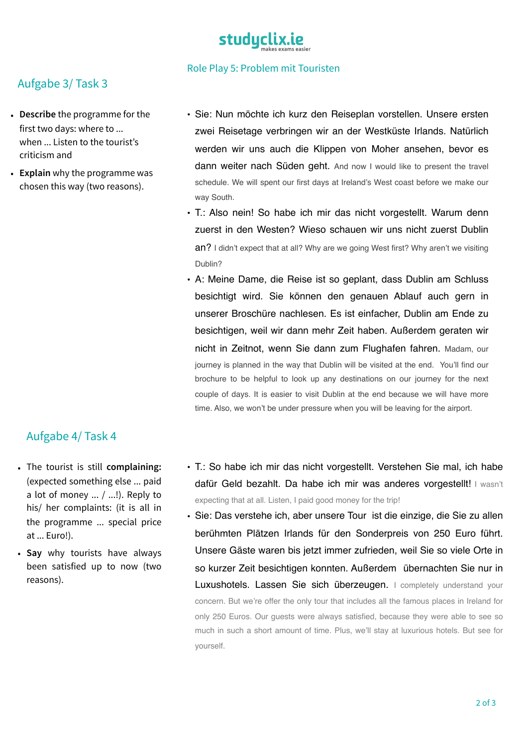

#### Role Play 5: Problem mit Touristen

#### Aufgabe 3/ Task 3

- **Describe** the programme for the first two days: where to ... when ... Listen to the tourist's criticism and
- **Explain** why the programme was chosen this way (two reasons).

#### • Sie: Nun möchte ich kurz den Reiseplan vorstellen. Unsere ersten zwei Reisetage verbringen wir an der Westküste Irlands. Natürlich werden wir uns auch die Klippen von Moher ansehen, bevor es dann weiter nach Süden geht. And now I would like to present the travel schedule. We will spent our first days at Ireland's West coast before we make our way South.

- T.: Also nein! So habe ich mir das nicht vorgestellt. Warum denn zuerst in den Westen? Wieso schauen wir uns nicht zuerst Dublin an? I didn't expect that at all? Why are we going West first? Why aren't we visiting Dublin?
- A: Meine Dame, die Reise ist so geplant, dass Dublin am Schluss besichtigt wird. Sie können den genauen Ablauf auch gern in unserer Broschüre nachlesen. Es ist einfacher, Dublin am Ende zu besichtigen, weil wir dann mehr Zeit haben. Außerdem geraten wir nicht in Zeitnot, wenn Sie dann zum Flughafen fahren. Madam, our journey is planned in the way that Dublin will be visited at the end. You'll find our brochure to be helpful to look up any destinations on our journey for the next couple of days. It is easier to visit Dublin at the end because we will have more time. Also, we won't be under pressure when you will be leaving for the airport.

#### Aufgabe 4/ Task 4

- The tourist is still **complaining:** (expected something else ... paid a lot of money  $\ldots$  /  $\ldots$ !). Reply to his/ her complaints: (it is all in the programme ... special price at ... Euro!).
- **Say** why tourists have always been satisfied up to now (two reasons).
- T.: So habe ich mir das nicht vorgestellt. Verstehen Sie mal, ich habe dafür Geld bezahlt. Da habe ich mir was anderes vorgestellt! I wasn't expecting that at all. Listen, I paid good money for the trip!
- Sie: Das verstehe ich, aber unsere Tour ist die einzige, die Sie zu allen berühmten Plätzen Irlands für den Sonderpreis von 250 Euro führt. Unsere Gäste waren bis jetzt immer zufrieden, weil Sie so viele Orte in so kurzer Zeit besichtigen konnten. Außerdem übernachten Sie nur in Luxushotels. Lassen Sie sich überzeugen. I completely understand your concern. But we're offer the only tour that includes all the famous places in Ireland for only 250 Euros. Our guests were always satisfied, because they were able to see so much in such a short amount of time. Plus, we'll stay at luxurious hotels. But see for yourself.